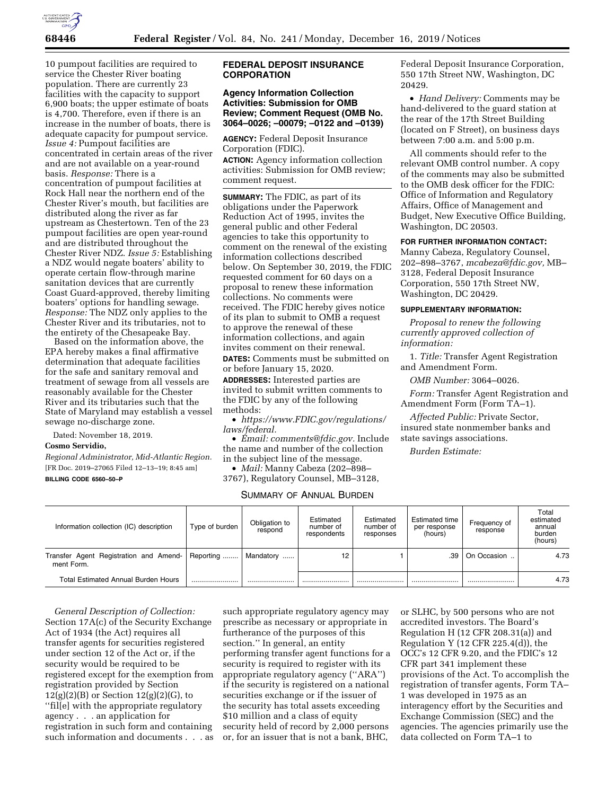

10 pumpout facilities are required to service the Chester River boating population. There are currently 23 facilities with the capacity to support 6,900 boats; the upper estimate of boats is 4,700. Therefore, even if there is an increase in the number of boats, there is adequate capacity for pumpout service. *Issue 4:* Pumpout facilities are concentrated in certain areas of the river and are not available on a year-round basis. *Response:* There is a concentration of pumpout facilities at Rock Hall near the northern end of the Chester River's mouth, but facilities are distributed along the river as far upstream as Chestertown. Ten of the 23 pumpout facilities are open year-round and are distributed throughout the Chester River NDZ. *Issue 5:* Establishing a NDZ would negate boaters' ability to operate certain flow-through marine sanitation devices that are currently Coast Guard-approved, thereby limiting boaters' options for handling sewage. *Response:* The NDZ only applies to the Chester River and its tributaries, not to the entirety of the Chesapeake Bay.

Based on the information above, the EPA hereby makes a final affirmative determination that adequate facilities for the safe and sanitary removal and treatment of sewage from all vessels are reasonably available for the Chester River and its tributaries such that the State of Maryland may establish a vessel sewage no-discharge zone.

Dated: November 18, 2019.

# **Cosmo Servidio,**

*Regional Administrator, Mid-Atlantic Region.*  [FR Doc. 2019–27065 Filed 12–13–19; 8:45 am] **BILLING CODE 6560–50–P** 

## **FEDERAL DEPOSIT INSURANCE CORPORATION**

### **Agency Information Collection Activities: Submission for OMB Review; Comment Request (OMB No. 3064–0026; –00079; –0122 and –0139)**

**AGENCY:** Federal Deposit Insurance Corporation (FDIC).

**ACTION:** Agency information collection activities: Submission for OMB review; comment request.

**SUMMARY:** The FDIC, as part of its obligations under the Paperwork Reduction Act of 1995, invites the general public and other Federal agencies to take this opportunity to comment on the renewal of the existing information collections described below. On September 30, 2019, the FDIC requested comment for 60 days on a proposal to renew these information collections. No comments were received. The FDIC hereby gives notice of its plan to submit to OMB a request to approve the renewal of these information collections, and again invites comment on their renewal.

**DATES:** Comments must be submitted on or before January 15, 2020.

**ADDRESSES:** Interested parties are invited to submit written comments to the FDIC by any of the following methods:

• *[https://www.FDIC.gov/regulations/](https://www.FDIC.gov/regulations/laws/federal) [laws/federal](https://www.FDIC.gov/regulations/laws/federal).* 

• *Email: [comments@fdic.gov.](mailto:comments@fdic.gov)* Include the name and number of the collection in the subject line of the message.

• *Mail:* Manny Cabeza (202–898– 3767), Regulatory Counsel, MB–3128,

# SUMMARY OF ANNUAL BURDEN

Federal Deposit Insurance Corporation, 550 17th Street NW, Washington, DC 20429.

• *Hand Delivery:* Comments may be hand-delivered to the guard station at the rear of the 17th Street Building (located on F Street), on business days between 7:00 a.m. and 5:00 p.m.

All comments should refer to the relevant OMB control number. A copy of the comments may also be submitted to the OMB desk officer for the FDIC: Office of Information and Regulatory Affairs, Office of Management and Budget, New Executive Office Building, Washington, DC 20503.

## **FOR FURTHER INFORMATION CONTACT:**

Manny Cabeza, Regulatory Counsel, 202–898–3767, *[mcabeza@fdic.gov,](mailto:mcabeza@fdic.gov)* MB– 3128, Federal Deposit Insurance Corporation, 550 17th Street NW, Washington, DC 20429.

#### **SUPPLEMENTARY INFORMATION:**

*Proposal to renew the following currently approved collection of information:* 

1. *Title:* Transfer Agent Registration and Amendment Form.

*OMB Number:* 3064–0026.

*Form:* Transfer Agent Registration and Amendment Form (Form TA–1).

*Affected Public:* Private Sector, insured state nonmember banks and state savings associations.

*Burden Estimate:* 

| Information collection (IC) description              | Type of burden | Obligation to<br>respond | Estimated<br>number of<br>respondents | Estimated<br>number of<br>responses | Estimated time<br>per response<br>(hours) | Frequency of<br>response | Total<br>estimated<br>annual<br>burden<br>(hours) |
|------------------------------------------------------|----------------|--------------------------|---------------------------------------|-------------------------------------|-------------------------------------------|--------------------------|---------------------------------------------------|
| Transfer Agent Registration and Amend-<br>ment Form. | Reporting      | Mandatory                | 12                                    |                                     | .39                                       | On Occasion              | 4.73                                              |
| <b>Total Estimated Annual Burden Hours</b>           |                |                          |                                       |                                     |                                           |                          | 4.73                                              |

*General Description of Collection:*  Section 17A(c) of the Security Exchange Act of 1934 (the Act) requires all transfer agents for securities registered under section 12 of the Act or, if the security would be required to be registered except for the exemption from registration provided by Section 12(g)(2)(B) or Section 12(g)(2)(G), to ''fil[e] with the appropriate regulatory agency . . . an application for registration in such form and containing such information and documents . . . as

such appropriate regulatory agency may prescribe as necessary or appropriate in furtherance of the purposes of this section.'' In general, an entity performing transfer agent functions for a security is required to register with its appropriate regulatory agency (''ARA'') if the security is registered on a national securities exchange or if the issuer of the security has total assets exceeding \$10 million and a class of equity security held of record by 2,000 persons or, for an issuer that is not a bank, BHC,

or SLHC, by 500 persons who are not accredited investors. The Board's Regulation H (12 CFR 208.31(a)) and Regulation Y (12 CFR 225.4(d)), the OCC's 12 CFR 9.20, and the FDIC's 12 CFR part 341 implement these provisions of the Act. To accomplish the registration of transfer agents, Form TA– 1 was developed in 1975 as an interagency effort by the Securities and Exchange Commission (SEC) and the agencies. The agencies primarily use the data collected on Form TA–1 to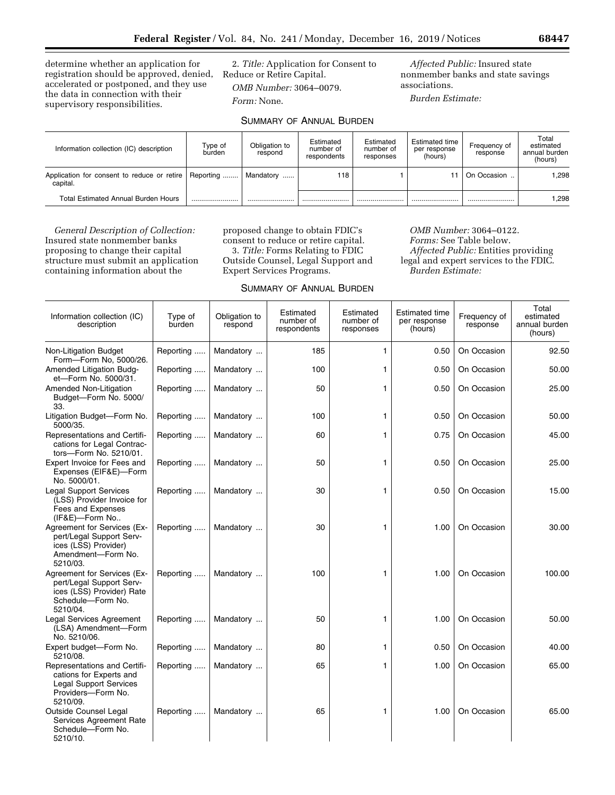determine whether an application for registration should be approved, denied, Reduce or Retire Capital. accelerated or postponed, and they use the data in connection with their supervisory responsibilities.

2. *Title:* Application for Consent to *OMB Number:* 3064–0079.

*Form:* None.

*Affected Public:* Insured state nonmember banks and state savings associations.

*Burden Estimate:* 

| Information collection (IC) description                 | Type of<br>burden | Obligation to<br>respond | Estimated<br>number of<br>respondents | Estimated<br>number of<br>responses | Estimated time<br>per response<br>(hours) | Frequency of<br>response | Total<br>estimated<br>annual burden<br>(hours) |
|---------------------------------------------------------|-------------------|--------------------------|---------------------------------------|-------------------------------------|-------------------------------------------|--------------------------|------------------------------------------------|
| Application for consent to reduce or retire<br>capital. | Reporting         | Mandatory                | 118                                   |                                     |                                           | On Occasion              | 1.298                                          |
| <b>Total Estimated Annual Burden Hours</b>              |                   |                          |                                       |                                     |                                           |                          | 1.298                                          |

SUMMARY OF ANNUAL BURDEN

*General Description of Collection:*  Insured state nonmember banks proposing to change their capital structure must submit an application containing information about the

proposed change to obtain FDIC's consent to reduce or retire capital. 3. *Title:* Forms Relating to FDIC Outside Counsel, Legal Support and Expert Services Programs.

*OMB Number:* 3064–0122. *Forms:* See Table below. *Affected Public:* Entities providing legal and expert services to the FDIC. *Burden Estimate:* 

|                                                                                                                            |                   |                          |                                       |                                     |                                                  |                          | Total                                 |
|----------------------------------------------------------------------------------------------------------------------------|-------------------|--------------------------|---------------------------------------|-------------------------------------|--------------------------------------------------|--------------------------|---------------------------------------|
| Information collection (IC)<br>description                                                                                 | Type of<br>burden | Obligation to<br>respond | Estimated<br>number of<br>respondents | Estimated<br>number of<br>responses | <b>Estimated time</b><br>per response<br>(hours) | Frequency of<br>response | estimated<br>annual burden<br>(hours) |
| Non-Litigation Budget<br>Form-Form No. 5000/26.                                                                            | Reporting         | Mandatory                | 185                                   | $\mathbf{1}$                        | 0.50                                             | On Occasion              | 92.50                                 |
| Amended Litigation Budg-<br>et-Form No. 5000/31.                                                                           | Reporting         | Mandatory                | 100                                   | $\mathbf{1}$                        | 0.50                                             | On Occasion              | 50.00                                 |
| Amended Non-Litigation<br>Budget-Form No. 5000/<br>33.                                                                     | Reporting         | Mandatory                | 50                                    | 1                                   | 0.50                                             | On Occasion              | 25.00                                 |
| Litigation Budget-Form No.<br>5000/35.                                                                                     | Reporting         | Mandatory                | 100                                   | $\mathbf{1}$                        | 0.50                                             | On Occasion              | 50.00                                 |
| Representations and Certifi-<br>cations for Legal Contrac-<br>tors-Form No. 5210/01.                                       | Reporting         | Mandatory                | 60                                    | 1                                   | 0.75                                             | On Occasion              | 45.00                                 |
| Expert Invoice for Fees and<br>Expenses (EIF&E)-Form<br>No. 5000/01.                                                       | Reporting         | Mandatory                | 50                                    | 1                                   | 0.50                                             | On Occasion              | 25.00                                 |
| <b>Legal Support Services</b><br>(LSS) Provider Invoice for<br>Fees and Expenses<br>(IF&E)-Form No                         | Reporting         | Mandatory                | 30                                    | 1                                   | 0.50                                             | On Occasion              | 15.00                                 |
| Agreement for Services (Ex-<br>pert/Legal Support Serv-<br>ices (LSS) Provider)<br>Amendment-Form No.<br>5210/03.          | Reporting         | Mandatory                | 30                                    | 1                                   | 1.00                                             | On Occasion              | 30.00                                 |
| Agreement for Services (Ex-<br>pert/Legal Support Serv-<br>ices (LSS) Provider) Rate<br>Schedule-Form No.<br>5210/04.      | Reporting         | Mandatory                | 100                                   | 1                                   | 1.00                                             | On Occasion              | 100.00                                |
| <b>Legal Services Agreement</b><br>(LSA) Amendment-Form<br>No. 5210/06.                                                    | Reporting         | Mandatory                | 50                                    | 1                                   | 1.00                                             | On Occasion              | 50.00                                 |
| Expert budget-Form No.<br>5210/08.                                                                                         | Reporting         | Mandatory                | 80                                    | 1                                   | 0.50                                             | On Occasion              | 40.00                                 |
| Representations and Certifi-<br>cations for Experts and<br><b>Legal Support Services</b><br>Providers-Form No.<br>5210/09. | Reporting         | Mandatory                | 65                                    | $\mathbf{1}$                        | 1.00                                             | On Occasion              | 65.00                                 |
| <b>Outside Counsel Legal</b><br>Services Agreement Rate<br>Schedule-Form No.<br>5210/10.                                   | Reporting         | Mandatory                | 65                                    | 1                                   | 1.00                                             | On Occasion              | 65.00                                 |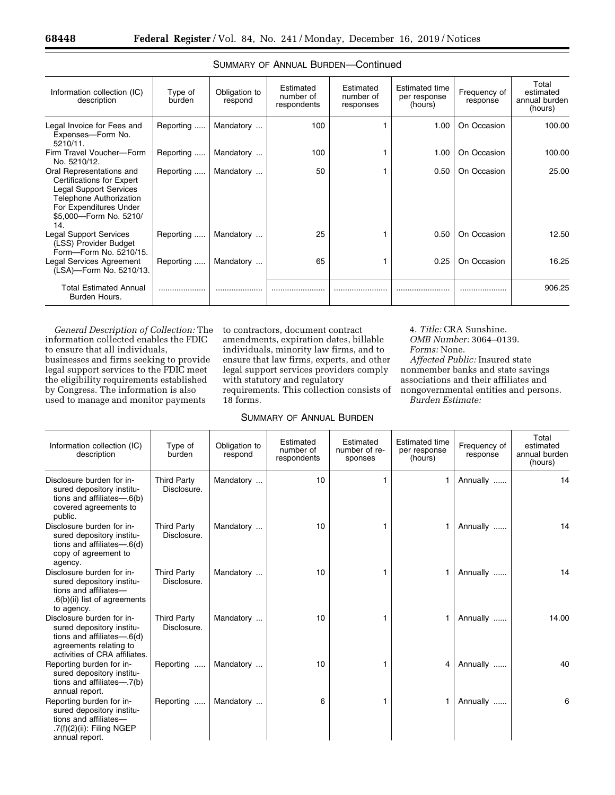| Information collection (IC)<br>description                                                                                                                                                 | Type of<br>burden | Obligation to<br>respond | Estimated<br>number of<br>respondents | Estimated<br>number of<br>responses | <b>Estimated time</b><br>per response<br>(hours) | Frequency of<br>response | Total<br>estimated<br>annual burden<br>(hours) |
|--------------------------------------------------------------------------------------------------------------------------------------------------------------------------------------------|-------------------|--------------------------|---------------------------------------|-------------------------------------|--------------------------------------------------|--------------------------|------------------------------------------------|
| Legal Invoice for Fees and<br>Expenses-Form No.<br>$5210/11$ .                                                                                                                             | Reporting         | Mandatory                | 100                                   |                                     | 1.00                                             | On Occasion              | 100.00                                         |
| Firm Travel Voucher-Form<br>No. 5210/12.                                                                                                                                                   | Reporting         | Mandatory                | 100                                   |                                     | 1.00                                             | On Occasion              | 100.00                                         |
| Oral Representations and<br><b>Certifications for Expert</b><br><b>Legal Support Services</b><br><b>Telephone Authorization</b><br>For Expenditures Under<br>\$5,000-Form No. 5210/<br>14. | Reporting         | Mandatory                | 50                                    |                                     | 0.50                                             | On Occasion              | 25.00                                          |
| <b>Legal Support Services</b><br>(LSS) Provider Budget<br>Form-Form No. 5210/15.                                                                                                           | Reporting         | Mandatory                | 25                                    |                                     | 0.50                                             | On Occasion              | 12.50                                          |
| Legal Services Agreement<br>(LSA)-Form No. 5210/13.                                                                                                                                        | Reporting         | Mandatory                | 65                                    |                                     | 0.25                                             | On Occasion              | 16.25                                          |
| <b>Total Estimated Annual</b><br>Burden Hours.                                                                                                                                             |                   |                          |                                       |                                     |                                                  |                          | 906.25                                         |

|  |  | SUMMARY OF ANNUAL BURDEN-Continued |
|--|--|------------------------------------|
|  |  |                                    |

*General Description of Collection:* The information collected enables the FDIC to ensure that all individuals, businesses and firms seeking to provide legal support services to the FDIC meet the eligibility requirements established by Congress. The information is also used to manage and monitor payments

to contractors, document contract amendments, expiration dates, billable individuals, minority law firms, and to ensure that law firms, experts, and other legal support services providers comply with statutory and regulatory requirements. This collection consists of 18 forms.

# 4. *Title:* CRA Sunshine. *OMB Number:* 3064–0139. *Forms:* None. *Affected Public:* Insured state nonmember banks and state savings associations and their affiliates and nongovernmental entities and persons. *Burden Estimate:*

# SUMMARY OF ANNUAL BURDEN

| Information collection (IC)<br>description                                                                                                     | Type of<br>burden                 | Obligation to<br>respond | Estimated<br>number of<br>respondents | Estimated<br>number of re-<br>sponses | <b>Estimated time</b><br>per response<br>(hours) | Frequency of<br>response | Total<br>estimated<br>annual burden<br>(hours) |
|------------------------------------------------------------------------------------------------------------------------------------------------|-----------------------------------|--------------------------|---------------------------------------|---------------------------------------|--------------------------------------------------|--------------------------|------------------------------------------------|
| Disclosure burden for in-<br>sured depository institu-<br>tions and affiliates-6(b)<br>covered agreements to<br>public.                        | <b>Third Party</b><br>Disclosure. | Mandatory                | 10                                    | 1                                     |                                                  | Annually                 | 14                                             |
| Disclosure burden for in-<br>sured depository institu-<br>tions and affiliates— $.6(d)$<br>copy of agreement to<br>agency.                     | <b>Third Party</b><br>Disclosure. | Mandatory                | 10                                    |                                       |                                                  | Annually                 | 14                                             |
| Disclosure burden for in-<br>sured depository institu-<br>tions and affiliates-<br>.6(b)(ii) list of agreements<br>to agency.                  | <b>Third Party</b><br>Disclosure. | Mandatory                | 10                                    |                                       |                                                  | Annually                 | 14                                             |
| Disclosure burden for in-<br>sured depository institu-<br>tions and affiliates-6(d)<br>agreements relating to<br>activities of CRA affiliates. | <b>Third Party</b><br>Disclosure. | Mandatory                | 10                                    |                                       |                                                  | Annually                 | 14.00                                          |
| Reporting burden for in-<br>sured depository institu-<br>tions and affiliates-7(b)<br>annual report.                                           | Reporting                         | Mandatory                | 10                                    |                                       | 4                                                | Annually                 | 40                                             |
| Reporting burden for in-<br>sured depository institu-<br>tions and affiliates-<br>.7(f)(2)(ii): Filing NGEP<br>annual report.                  | Reporting                         | Mandatory                | 6                                     |                                       |                                                  | Annually                 | 6                                              |